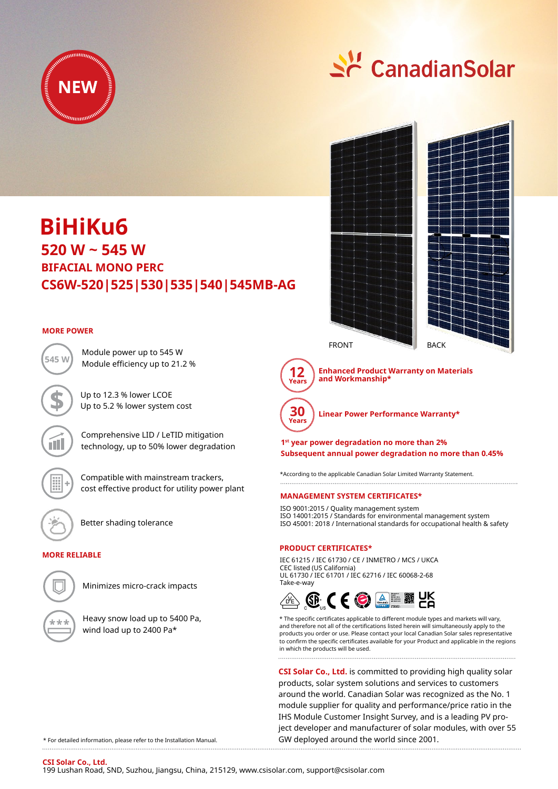

# Si CanadianSolar

## **520 W ~ 545 W CS6W-520|525|530|535|540|545MB-AG BiHiKu6 BIFACIAL MONO PERC**

#### **MORE POWER**

Module efficiency up to 21.2 % **545 W**



Better shading tolerance

Module power up to 545 W

Up to 12.3 % lower LCOE Up to 5.2 % lower system cost

Comprehensive LID / LeTID mitigation technology, up to 50% lower degradation

Compatible with mainstream trackers, cost effective product for utility power plant

#### **MORE RELIABLE**



Minimizes micro-crack impacts

Heavy snow load up to 5400 Pa, wind load up to 2400 Pa\*





**Enhanced Product Warranty on Materials** 



**Linear Power Performance Warranty\***

**1st year power degradation no more than 2% Subsequent annual power degradation no more than 0.45%**

\*According to the applicable Canadian Solar Limited Warranty Statement.

#### **MANAGEMENT SYSTEM CERTIFICATES\***

ISO 9001:2015 / Quality management system ISO 14001:2015 / Standards for environmental management system ISO 45001: 2018 / International standards for occupational health & safety

#### **PRODUCT CERTIFICATES\***

IEC 61215 / IEC 61730 / CE / INMETRO / MCS / UKCA CEC listed (US California) UL 61730 / IEC 61701 / IEC 62716 / IEC 60068-2-68 Take-e-way



\* The specific certificates applicable to different module types and markets will vary, and therefore not all of the certifications listed herein will simultaneously apply to the products you order or use. Please contact your local Canadian Solar sales representative to confirm the specific certificates available for your Product and applicable in the regions in which the products will be used. 

**CSI Solar Co., Ltd.** is committed to providing high quality solar products, solar system solutions and services to customers around the world. Canadian Solar was recognized as the No. 1 module supplier for quality and performance/price ratio in the IHS Module Customer Insight Survey, and is a leading PV project developer and manufacturer of solar modules, with over 55 GW deployed around the world since 2001.

\* For detailed information, please refer to the Installation Manual.